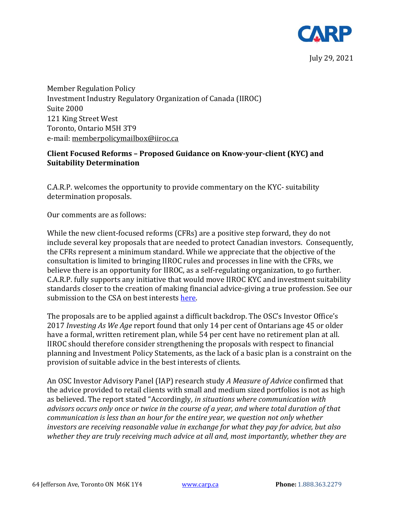

Member Regulation Policy Investment Industry Regulatory Organization of Canada (IIROC) Suite 2000 121 King Street West Toronto, Ontario M5H 3T9 e-mail: [memberpolicymailbox@iiroc.ca](mailto:memberpolicymailbox@iiroc.ca)

# **Client Focused Reforms – Proposed Guidance on Know-your-client (KYC) and Suitability Determination**

C.A.R.P. welcomes the opportunity to provide commentary on the KYC- suitability determination proposals.

Our comments are as follows:

While the new client-focused reforms (CFRs) are a positive step forward, they do not include several key proposals that are needed to protect Canadian investors. Consequently, the CFRs represent a minimum standard. While we appreciate that the objective of the consultation is limited to bringing IIROC rules and processes in line with the CFRs, we believe there is an opportunity for IIROC, as a self-regulating organization, to go further. C.A.R.P. fully supports any initiative that would move IIROC KYC and investment suitability standards closer to the creation of making financial advice-giving a true profession. See our submission to the CSA on best interests [here.](https://www.carp.ca/2016/09/17/submission-canadian-securities-administrators/)

The proposals are to be applied against a difficult backdrop. The OSC's Investor Office's 2017 *Investing As We Age* report found that only 14 per cent of Ontarians age 45 or older have a formal, written retirement plan, while 54 per cent have no retirement plan at all. IIROC should therefore consider strengthening the proposals with respect to financial planning and Investment Policy Statements, as the lack of a basic plan is a constraint on the provision of suitable advice in the best interests of clients.

An OSC Investor Advisory Panel (IAP) research study *A Measure of Advice* confirmed that the advice provided to retail clients with small and medium sized portfolios is not as high as believed. The report stated "Accordingly*, in situations where communication with advisors occurs only once or twice in the course of a year, and where total duration of that communication is less than an hour for the entire year, we question not only whether investors are receiving reasonable value in exchange for what they pay for advice, but also whether they are truly receiving much advice at all and, most importantly, whether they are*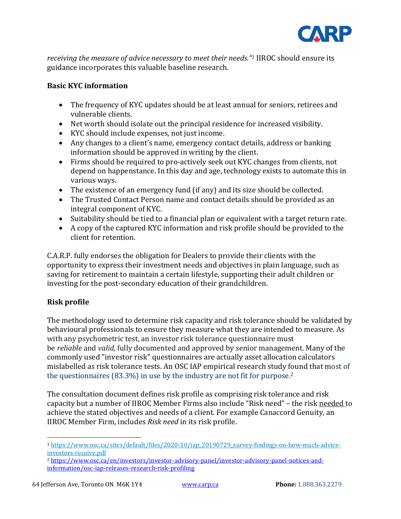

*receiving the measure of advice necessary to meet their needs."<sup>1</sup>* IIROC should ensure its guidance incorporates this valuable baseline research.

### **Basic KYC information**

- The frequency of KYC updates should be at least annual for seniors, retirees and vulnerable clients.
- Net worth should isolate out the principal residence for increased visibility.
- KYC should include expenses, not just income.
- Any changes to a client's name, emergency contact details, address or banking information should be approved in writing by the client.
- Firms should be required to pro-actively seek out KYC changes from clients, not depend on happenstance. In this day and age, technology exists to automate this in various ways.
- The existence of an emergency fund (if any) and its size should be collected.
- The Trusted Contact Person name and contact details should be provided as an integral component of KYC.
- Suitability should be tied to a financial plan or equivalent with a target return rate.
- A copy of the captured KYC information and risk profile should be provided to the client for retention.

C.A.R.P. fully endorses the obligation for Dealers to provide their clients with the opportunity to express their investment needs and objectives in plain language, such as saving for retirement to maintain a certain lifestyle, supporting their adult children or investing for the post-secondary education of their grandchildren.

# **Risk profile**

The methodology used to determine risk capacity and risk tolerance should be validated by behavioural professionals to ensure they measure what they are intended to measure. As with any psychometric test, an investor risk tolerance questionnaire must be *reliable* and *valid,* fully documented and approved by senior management. Many of the commonly used "investor risk" questionnaires are actually asset allocation calculators mislabelled as risk tolerance tests. An OSC IAP empirical research study found that most of the questionnaires (83.3%) in use by the industry are not fit for purpose.<sup>2</sup>

The consultation document defines risk profile as comprising risk tolerance and risk capacity but a number of IIROC Member Firms also include "Risk need" – the risk needed to achieve the stated objectives and needs of a client. For example Canaccord Genuity, an IIROC Member Firm, includes *Risk need* in its risk profile.

<sup>1</sup> [https://www.osc.ca/sites/default/files/2020-10/iap\\_20190729\\_survey-findings-on-how-much-advice](https://www.osc.ca/sites/default/files/2020-10/iap_20190729_survey-findings-on-how-much-advice-investors-receive.pdf)[investors-receive.pdf](https://www.osc.ca/sites/default/files/2020-10/iap_20190729_survey-findings-on-how-much-advice-investors-receive.pdf)

<sup>2</sup> [https://www.osc.ca/en/investors/investor-advisory-panel/investor-advisory-panel-notices-and](https://www.osc.ca/en/investors/investor-advisory-panel/investor-advisory-panel-notices-and-information/osc-iap-releases-research-risk-profiling)[information/osc-iap-releases-research-risk-profiling](https://www.osc.ca/en/investors/investor-advisory-panel/investor-advisory-panel-notices-and-information/osc-iap-releases-research-risk-profiling)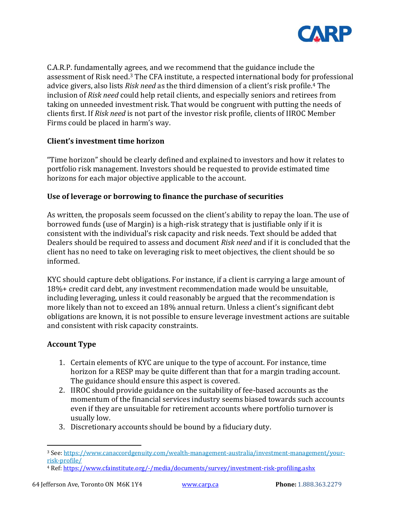

C.A.R.P. fundamentally agrees, and we recommend that the guidance include the assessment of Risk need.<sup>3</sup> The CFA institute, a respected international body for professional advice givers, also lists *Risk need* as the third dimension of a client's risk profile.<sup>4</sup> The inclusion of *Risk need* could help retail clients, and especially seniors and retirees from taking on unneeded investment risk. That would be congruent with putting the needs of clients first. If *Risk need* is not part of the investor risk profile, clients of IIROC Member Firms could be placed in harm's way.

# **Client's investment time horizon**

"Time horizon" should be clearly defined and explained to investors and how it relates to portfolio risk management. Investors should be requested to provide estimated time horizons for each major objective applicable to the account.

#### **Use of leverage or borrowing to finance the purchase of securities**

As written, the proposals seem focussed on the client's ability to repay the loan. The use of borrowed funds (use of Margin) is a high-risk strategy that is justifiable only if it is consistent with the individual's risk capacity and risk needs. Text should be added that Dealers should be required to assess and document *Risk need* and if it is concluded that the client has no need to take on leveraging risk to meet objectives, the client should be so informed.

KYC should capture debt obligations. For instance, if a client is carrying a large amount of 18%+ credit card debt, any investment recommendation made would be unsuitable, including leveraging, unless it could reasonably be argued that the recommendation is more likely than not to exceed an 18% annual return. Unless a client's significant debt obligations are known, it is not possible to ensure leverage investment actions are suitable and consistent with risk capacity constraints.

# **Account Type**

- 1. Certain elements of KYC are unique to the type of account. For instance, time horizon for a RESP may be quite different than that for a margin trading account. The guidance should ensure this aspect is covered.
- 2. IIROC should provide guidance on the suitability of fee-based accounts as the momentum of the financial services industry seems biased towards such accounts even if they are unsuitable for retirement accounts where portfolio turnover is usually low.
- 3. Discretionary accounts should be bound by a fiduciary duty.

<sup>3</sup> See[: https://www.canaccordgenuity.com/wealth-management-australia/investment-management/your](https://www.canaccordgenuity.com/wealth-management-australia/investment-management/your-risk-profile/)[risk-profile/](https://www.canaccordgenuity.com/wealth-management-australia/investment-management/your-risk-profile/)

<sup>4</sup> Ref: <https://www.cfainstitute.org/-/media/documents/survey/investment-risk-profiling.ashx>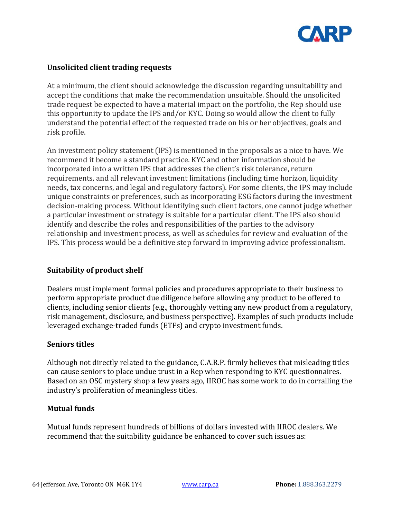

### **Unsolicited client trading requests**

At a minimum, the client should acknowledge the discussion regarding unsuitability and accept the conditions that make the recommendation unsuitable. Should the unsolicited trade request be expected to have a material impact on the portfolio, the Rep should use this opportunity to update the IPS and/or KYC. Doing so would allow the client to fully understand the potential effect of the requested trade on his or her objectives, goals and risk profile.

An investment policy statement (IPS) is mentioned in the proposals as a nice to have. We recommend it become a standard practice. KYC and other information should be incorporated into a written IPS that addresses the client's risk tolerance, return requirements, and all relevant investment limitations (including time horizon, liquidity needs, tax concerns, and legal and regulatory factors). For some clients, the IPS may include unique constraints or preferences, such as incorporating ESG factors during the investment decision-making process. Without identifying such client factors, one cannot judge whether a particular investment or strategy is suitable for a particular client. The IPS also should identify and describe the roles and responsibilities of the parties to the advisory relationship and investment process, as well as schedules for review and evaluation of the IPS. This process would be a definitive step forward in improving advice professionalism.

#### **Suitability of product shelf**

Dealers must implement formal policies and procedures appropriate to their business to perform appropriate product due diligence before allowing any product to be offered to clients, including senior clients (e.g., thoroughly vetting any new product from a regulatory, risk management, disclosure, and business perspective). Examples of such products include leveraged exchange-traded funds (ETFs) and crypto investment funds.

#### **Seniors titles**

Although not directly related to the guidance, C.A.R.P. firmly believes that misleading titles can cause seniors to place undue trust in a Rep when responding to KYC questionnaires. Based on an OSC mystery shop a few years ago, IIROC has some work to do in corralling the industry's proliferation of meaningless titles.

# **Mutual funds**

Mutual funds represent hundreds of billions of dollars invested with IIROC dealers. We recommend that the suitability guidance be enhanced to cover such issues as: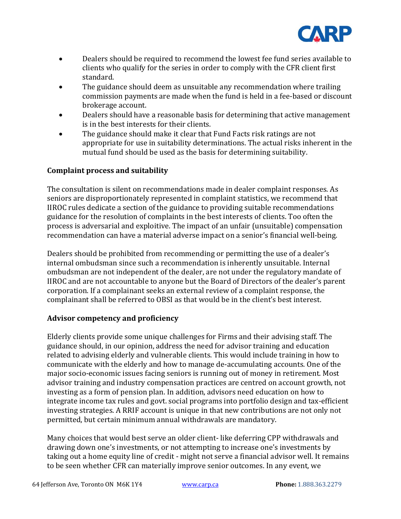

- Dealers should be required to recommend the lowest fee fund series available to clients who qualify for the series in order to comply with the CFR client first standard.
- The guidance should deem as unsuitable any recommendation where trailing commission payments are made when the fund is held in a fee-based or discount brokerage account.
- Dealers should have a reasonable basis for determining that active management is in the best interests for their clients.
- The guidance should make it clear that Fund Facts risk ratings are not appropriate for use in suitability determinations. The actual risks inherent in the mutual fund should be used as the basis for determining suitability.

# **Complaint process and suitability**

The consultation is silent on recommendations made in dealer complaint responses. As seniors are disproportionately represented in complaint statistics, we recommend that IIROC rules dedicate a section of the guidance to providing suitable recommendations guidance for the resolution of complaints in the best interests of clients. Too often the process is adversarial and exploitive. The impact of an unfair (unsuitable) compensation recommendation can have a material adverse impact on a senior's financial well-being.

Dealers should be prohibited from recommending or permitting the use of a dealer's internal ombudsman since such a recommendation is inherently unsuitable. Internal ombudsman are not independent of the dealer, are not under the regulatory mandate of IIROC and are not accountable to anyone but the Board of Directors of the dealer's parent corporation. If a complainant seeks an external review of a complaint response, the complainant shall be referred to OBSI as that would be in the client's best interest.

# **Advisor competency and proficiency**

Elderly clients provide some unique challenges for Firms and their advising staff. The guidance should, in our opinion, address the need for advisor training and education related to advising elderly and vulnerable clients. This would include training in how to communicate with the elderly and how to manage de-accumulating accounts. One of the major socio-economic issues facing seniors is running out of money in retirement. Most advisor training and industry compensation practices are centred on account growth, not investing as a form of pension plan. In addition, advisors need education on how to integrate income tax rules and govt. social programs into portfolio design and tax-efficient investing strategies. A RRIF account is unique in that new contributions are not only not permitted, but certain minimum annual withdrawals are mandatory.

Many choices that would best serve an older client- like deferring CPP withdrawals and drawing down one's investments, or not attempting to increase one's investments by taking out a home equity line of credit - might not serve a financial advisor well. It remains to be seen whether CFR can materially improve senior outcomes. In any event, we